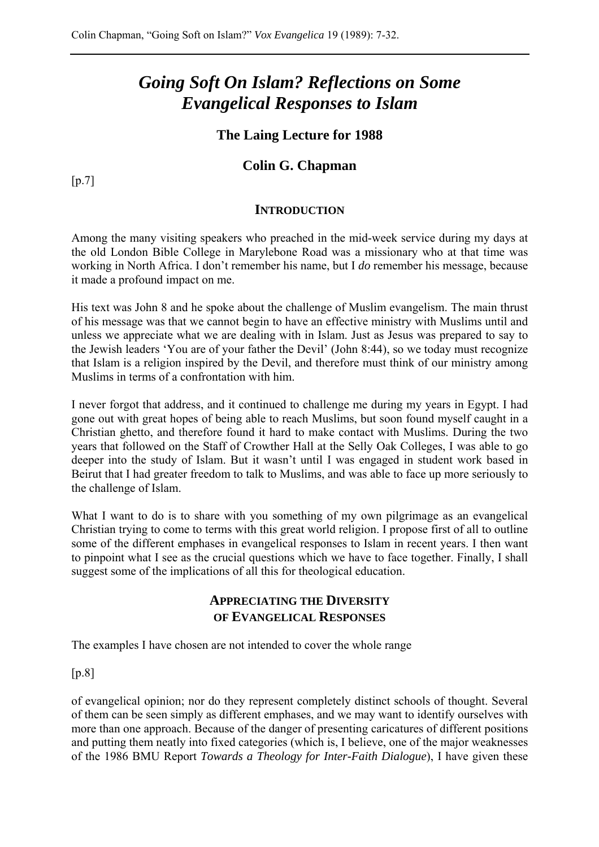# *Going Soft On Islam? Reflections on Some Evangelical Responses to Islam*

# **The Laing Lecture for 1988**

# **Colin G. Chapman**

 $[p.7]$ 

#### **INTRODUCTION**

Among the many visiting speakers who preached in the mid-week service during my days at the old London Bible College in Marylebone Road was a missionary who at that time was working in North Africa. I don't remember his name, but I *do* remember his message, because it made a profound impact on me.

His text was John 8 and he spoke about the challenge of Muslim evangelism. The main thrust of his message was that we cannot begin to have an effective ministry with Muslims until and unless we appreciate what we are dealing with in Islam. Just as Jesus was prepared to say to the Jewish leaders 'You are of your father the Devil' (John 8:44), so we today must recognize that Islam is a religion inspired by the Devil, and therefore must think of our ministry among Muslims in terms of a confrontation with him.

I never forgot that address, and it continued to challenge me during my years in Egypt. I had gone out with great hopes of being able to reach Muslims, but soon found myself caught in a Christian ghetto, and therefore found it hard to make contact with Muslims. During the two years that followed on the Staff of Crowther Hall at the Selly Oak Colleges, I was able to go deeper into the study of Islam. But it wasn't until I was engaged in student work based in Beirut that I had greater freedom to talk to Muslims, and was able to face up more seriously to the challenge of Islam.

What I want to do is to share with you something of my own pilgrimage as an evangelical Christian trying to come to terms with this great world religion. I propose first of all to outline some of the different emphases in evangelical responses to Islam in recent years. I then want to pinpoint what I see as the crucial questions which we have to face together. Finally, I shall suggest some of the implications of all this for theological education.

# **APPRECIATING THE DIVERSITY OF EVANGELICAL RESPONSES**

The examples I have chosen are not intended to cover the whole range

[p.8]

of evangelical opinion; nor do they represent completely distinct schools of thought. Several of them can be seen simply as different emphases, and we may want to identify ourselves with more than one approach. Because of the danger of presenting caricatures of different positions and putting them neatly into fixed categories (which is, I believe, one of the major weaknesses of the 1986 BMU Report *Towards a Theology for Inter-Faith Dialogue*), I have given these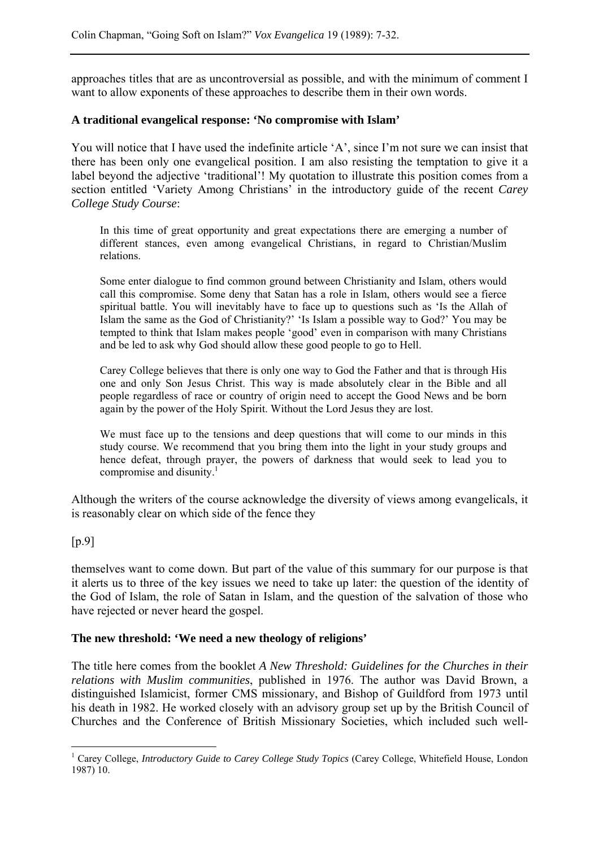approaches titles that are as uncontroversial as possible, and with the minimum of comment I want to allow exponents of these approaches to describe them in their own words.

#### **A traditional evangelical response: 'No compromise with Islam'**

You will notice that I have used the indefinite article 'A', since I'm not sure we can insist that there has been only one evangelical position. I am also resisting the temptation to give it a label beyond the adjective 'traditional'! My quotation to illustrate this position comes from a section entitled 'Variety Among Christians' in the introductory guide of the recent *Carey College Study Course*:

In this time of great opportunity and great expectations there are emerging a number of different stances, even among evangelical Christians, in regard to Christian/Muslim relations.

Some enter dialogue to find common ground between Christianity and Islam, others would call this compromise. Some deny that Satan has a role in Islam, others would see a fierce spiritual battle. You will inevitably have to face up to questions such as 'Is the Allah of Islam the same as the God of Christianity?' 'Is Islam a possible way to God?' You may be tempted to think that Islam makes people 'good' even in comparison with many Christians and be led to ask why God should allow these good people to go to Hell.

Carey College believes that there is only one way to God the Father and that is through His one and only Son Jesus Christ. This way is made absolutely clear in the Bible and all people regardless of race or country of origin need to accept the Good News and be born again by the power of the Holy Spirit. Without the Lord Jesus they are lost.

We must face up to the tensions and deep questions that will come to our minds in this study course. We recommend that you bring them into the light in your study groups and hence defeat, through prayer, the powers of darkness that would seek to lead you to compromise and disunity. $\frac{1}{1}$ 

Although the writers of the course acknowledge the diversity of views among evangelicals, it is reasonably clear on which side of the fence they

## [p.9]

 $\overline{a}$ 

themselves want to come down. But part of the value of this summary for our purpose is that it alerts us to three of the key issues we need to take up later: the question of the identity of the God of Islam, the role of Satan in Islam, and the question of the salvation of those who have rejected or never heard the gospel.

#### **The new threshold: 'We need a new theology of religions'**

The title here comes from the booklet *A New Threshold: Guidelines for the Churches in their relations with Muslim communities*, published in 1976. The author was David Brown, a distinguished Islamicist, former CMS missionary, and Bishop of Guildford from 1973 until his death in 1982. He worked closely with an advisory group set up by the British Council of Churches and the Conference of British Missionary Societies, which included such well-

<sup>&</sup>lt;sup>1</sup> Carey College, *Introductory Guide to Carey College Study Topics* (Carey College, Whitefield House, London 1987) 10.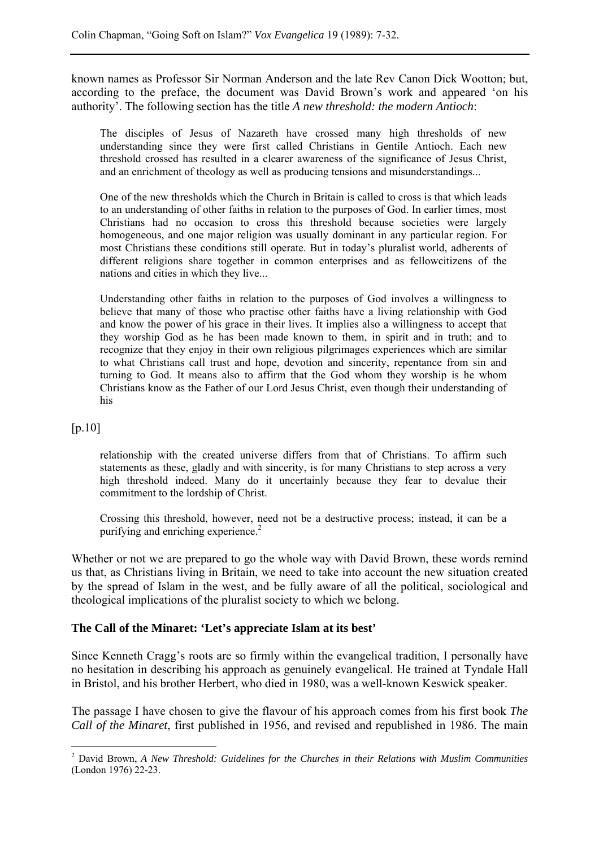known names as Professor Sir Norman Anderson and the late Rev Canon Dick Wootton; but, according to the preface, the document was David Brown's work and appeared 'on his authority'. The following section has the title *A new threshold: the modern Antioch*:

The disciples of Jesus of Nazareth have crossed many high thresholds of new understanding since they were first called Christians in Gentile Antioch. Each new threshold crossed has resulted in a clearer awareness of the significance of Jesus Christ, and an enrichment of theology as well as producing tensions and misunderstandings...

One of the new thresholds which the Church in Britain is called to cross is that which leads to an understanding of other faiths in relation to the purposes of God. In earlier times, most Christians had no occasion to cross this threshold because societies were largely homogeneous, and one major religion was usually dominant in any particular region. For most Christians these conditions still operate. But in today's pluralist world, adherents of different religions share together in common enterprises and as fellowcitizens of the nations and cities in which they live...

Understanding other faiths in relation to the purposes of God involves a willingness to believe that many of those who practise other faiths have a living relationship with God and know the power of his grace in their lives. It implies also a willingness to accept that they worship God as he has been made known to them, in spirit and in truth; and to recognize that they enjoy in their own religious pilgrimages experiences which are similar to what Christians call trust and hope, devotion and sincerity, repentance from sin and turning to God. It means also to affirm that the God whom they worship is he whom Christians know as the Father of our Lord Jesus Christ, even though their understanding of his

#### [p.10]

 $\overline{a}$ 

relationship with the created universe differs from that of Christians. To affirm such statements as these, gladly and with sincerity, is for many Christians to step across a very high threshold indeed. Many do it uncertainly because they fear to devalue their commitment to the lordship of Christ.

Crossing this threshold, however, need not be a destructive process; instead, it can be a purifying and enriching experience.<sup>2</sup>

Whether or not we are prepared to go the whole way with David Brown, these words remind us that, as Christians living in Britain, we need to take into account the new situation created by the spread of Islam in the west, and be fully aware of all the political, sociological and theological implications of the pluralist society to which we belong.

#### **The Call of the Minaret: 'Let's appreciate Islam at its best'**

Since Kenneth Cragg's roots are so firmly within the evangelical tradition, I personally have no hesitation in describing his approach as genuinely evangelical. He trained at Tyndale Hall in Bristol, and his brother Herbert, who died in 1980, was a well-known Keswick speaker.

The passage I have chosen to give the flavour of his approach comes from his first book *The Call of the Minaret*, first published in 1956, and revised and republished in 1986. The main

<sup>2</sup> David Brown, *A New Threshold: Guidelines for the Churches in their Relations with Muslim Communities* (London 1976) 22-23.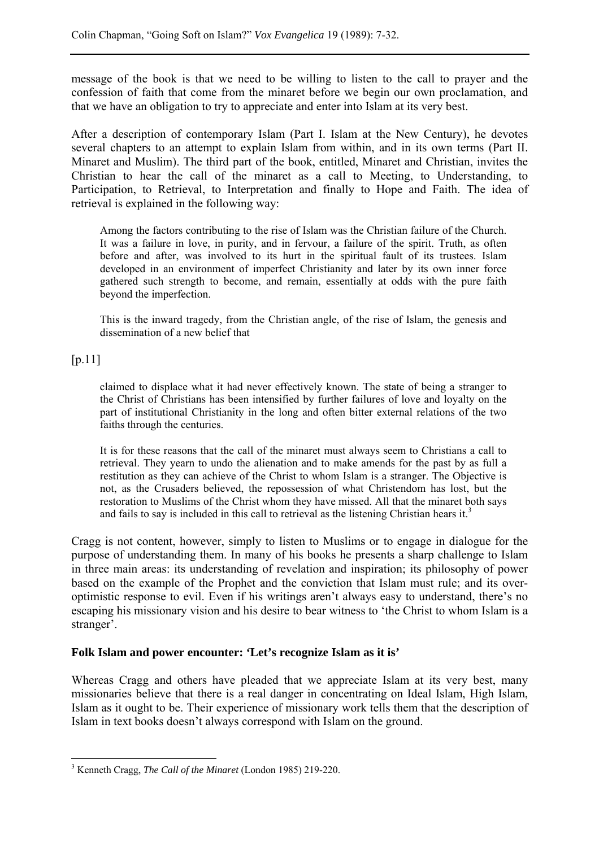message of the book is that we need to be willing to listen to the call to prayer and the confession of faith that come from the minaret before we begin our own proclamation, and that we have an obligation to try to appreciate and enter into Islam at its very best.

After a description of contemporary Islam (Part I. Islam at the New Century), he devotes several chapters to an attempt to explain Islam from within, and in its own terms (Part II. Minaret and Muslim). The third part of the book, entitled, Minaret and Christian, invites the Christian to hear the call of the minaret as a call to Meeting, to Understanding, to Participation, to Retrieval, to Interpretation and finally to Hope and Faith. The idea of retrieval is explained in the following way:

Among the factors contributing to the rise of Islam was the Christian failure of the Church. It was a failure in love, in purity, and in fervour, a failure of the spirit. Truth, as often before and after, was involved to its hurt in the spiritual fault of its trustees. Islam developed in an environment of imperfect Christianity and later by its own inner force gathered such strength to become, and remain, essentially at odds with the pure faith beyond the imperfection.

This is the inward tragedy, from the Christian angle, of the rise of Islam, the genesis and dissemination of a new belief that

## $[p.11]$

 $\overline{a}$ 

claimed to displace what it had never effectively known. The state of being a stranger to the Christ of Christians has been intensified by further failures of love and loyalty on the part of institutional Christianity in the long and often bitter external relations of the two faiths through the centuries.

It is for these reasons that the call of the minaret must always seem to Christians a call to retrieval. They yearn to undo the alienation and to make amends for the past by as full a restitution as they can achieve of the Christ to whom Islam is a stranger. The Objective is not, as the Crusaders believed, the repossession of what Christendom has lost, but the restoration to Muslims of the Christ whom they have missed. All that the minaret both says and fails to say is included in this call to retrieval as the listening Christian hears it.<sup>3</sup>

Cragg is not content, however, simply to listen to Muslims or to engage in dialogue for the purpose of understanding them. In many of his books he presents a sharp challenge to Islam in three main areas: its understanding of revelation and inspiration; its philosophy of power based on the example of the Prophet and the conviction that Islam must rule; and its overoptimistic response to evil. Even if his writings aren't always easy to understand, there's no escaping his missionary vision and his desire to bear witness to 'the Christ to whom Islam is a stranger'.

## **Folk Islam and power encounter: 'Let's recognize Islam as it is'**

Whereas Cragg and others have pleaded that we appreciate Islam at its very best, many missionaries believe that there is a real danger in concentrating on Ideal Islam, High Islam, Islam as it ought to be. Their experience of missionary work tells them that the description of Islam in text books doesn't always correspond with Islam on the ground.

<sup>3</sup> Kenneth Cragg, *The Call of the Minaret* (London 1985) 219-220.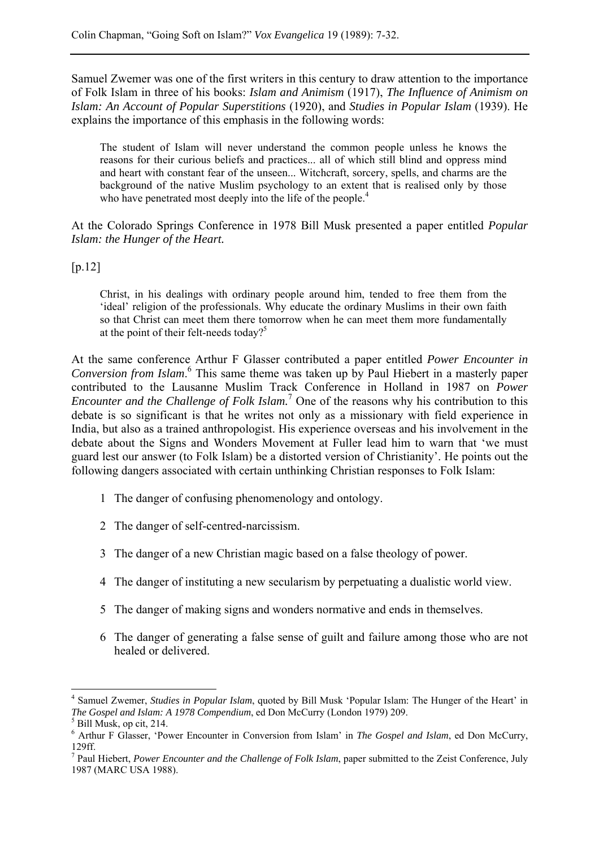Samuel Zwemer was one of the first writers in this century to draw attention to the importance of Folk Islam in three of his books: *Islam and Animism* (1917), *The Influence of Animism on Islam: An Account of Popular Superstitions* (1920), and *Studies in Popular Islam* (1939). He explains the importance of this emphasis in the following words:

The student of Islam will never understand the common people unless he knows the reasons for their curious beliefs and practices... all of which still blind and oppress mind and heart with constant fear of the unseen... Witchcraft, sorcery, spells, and charms are the background of the native Muslim psychology to an extent that is realised only by those who have penetrated most deeply into the life of the people.<sup>4</sup>

At the Colorado Springs Conference in 1978 Bill Musk presented a paper entitled *Popular Islam: the Hunger of the Heart.*

[p.12]

Christ, in his dealings with ordinary people around him, tended to free them from the 'ideal' religion of the professionals. Why educate the ordinary Muslims in their own faith so that Christ can meet them there tomorrow when he can meet them more fundamentally at the point of their felt-needs today?<sup>5</sup>

At the same conference Arthur F Glasser contributed a paper entitled *Power Encounter in*  Conversion from Islam.<sup>6</sup> This same theme was taken up by Paul Hiebert in a masterly paper contributed to the Lausanne Muslim Track Conference in Holland in 1987 on *Power Encounter and the Challenge of Folk Islam.*<sup>7</sup> One of the reasons why his contribution to this debate is so significant is that he writes not only as a missionary with field experience in India, but also as a trained anthropologist. His experience overseas and his involvement in the debate about the Signs and Wonders Movement at Fuller lead him to warn that 'we must guard lest our answer (to Folk Islam) be a distorted version of Christianity'. He points out the following dangers associated with certain unthinking Christian responses to Folk Islam:

- 1 The danger of confusing phenomenology and ontology.
- 2 The danger of self-centred-narcissism.
- 3 The danger of a new Christian magic based on a false theology of power.
- 4 The danger of instituting a new secularism by perpetuating a dualistic world view.
- 5 The danger of making signs and wonders normative and ends in themselves.
- 6 The danger of generating a false sense of guilt and failure among those who are not healed or delivered.

 $\overline{a}$ 

<sup>4</sup> Samuel Zwemer, *Studies in Popular Islam*, quoted by Bill Musk 'Popular Islam: The Hunger of the Heart' in *The Gospel and Islam: A 1978 Compendium*, ed Don McCurry (London 1979) 209. 5

 $<sup>5</sup>$  Bill Musk, op cit, 214.</sup>

<sup>6</sup> Arthur F Glasser, 'Power Encounter in Conversion from Islam' in *The Gospel and Islam*, ed Don McCurry, 129ff.

<sup>7</sup> Paul Hiebert, *Power Encounter and the Challenge of Folk Islam*, paper submitted to the Zeist Conference, July 1987 (MARC USA 1988).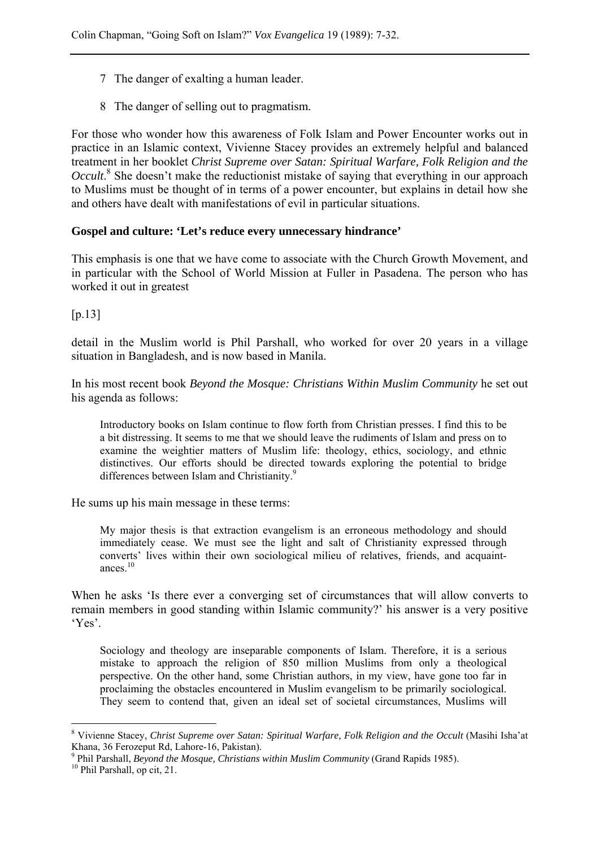- 7 The danger of exalting a human leader.
- 8 The danger of selling out to pragmatism.

For those who wonder how this awareness of Folk Islam and Power Encounter works out in practice in an Islamic context, Vivienne Stacey provides an extremely helpful and balanced treatment in her booklet *Christ Supreme over Satan: Spiritual Warfare, Folk Religion and the Occult*.<sup>8</sup> She doesn't make the reductionist mistake of saying that everything in our approach to Muslims must be thought of in terms of a power encounter, but explains in detail how she and others have dealt with manifestations of evil in particular situations.

#### **Gospel and culture: 'Let's reduce every unnecessary hindrance'**

This emphasis is one that we have come to associate with the Church Growth Movement, and in particular with the School of World Mission at Fuller in Pasadena. The person who has worked it out in greatest

[p.13]

detail in the Muslim world is Phil Parshall, who worked for over 20 years in a village situation in Bangladesh, and is now based in Manila.

In his most recent book *Beyond the Mosque: Christians Within Muslim Community* he set out his agenda as follows:

Introductory books on Islam continue to flow forth from Christian presses. I find this to be a bit distressing. It seems to me that we should leave the rudiments of Islam and press on to examine the weightier matters of Muslim life: theology, ethics, sociology, and ethnic distinctives. Our efforts should be directed towards exploring the potential to bridge differences between Islam and Christianity.<sup>9</sup>

He sums up his main message in these terms:

My major thesis is that extraction evangelism is an erroneous methodology and should immediately cease. We must see the light and salt of Christianity expressed through converts' lives within their own sociological milieu of relatives, friends, and acquaintances $10$ 

When he asks 'Is there ever a converging set of circumstances that will allow converts to remain members in good standing within Islamic community?' his answer is a very positive 'Yes'.

Sociology and theology are inseparable components of Islam. Therefore, it is a serious mistake to approach the religion of 850 million Muslims from only a theological perspective. On the other hand, some Christian authors, in my view, have gone too far in proclaiming the obstacles encountered in Muslim evangelism to be primarily sociological. They seem to contend that, given an ideal set of societal circumstances, Muslims will

 $\overline{a}$ 

<sup>8</sup> Vivienne Stacey, *Christ Supreme over Satan: Spiritual Warfare, Folk Religion and the Occult* (Masihi Isha'at Khana, 36 Ferozeput Rd, Lahore-16, Pakistan).

<sup>&</sup>lt;sup>9</sup> Phil Parshall, *Beyond the Mosque, Christians within Muslim Community* (Grand Rapids 1985). <sup>10</sup> Phil Parshall, op cit, 21.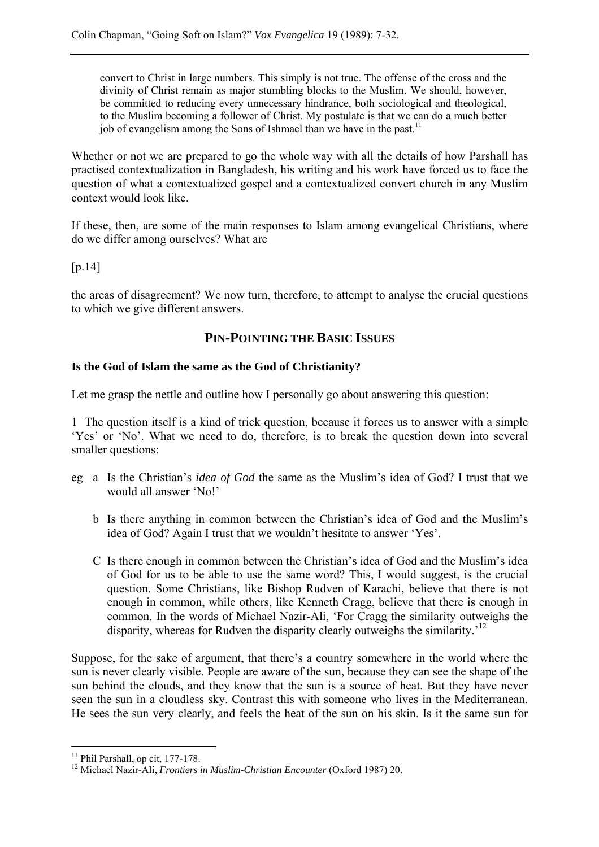convert to Christ in large numbers. This simply is not true. The offense of the cross and the divinity of Christ remain as major stumbling blocks to the Muslim. We should, however, be committed to reducing every unnecessary hindrance, both sociological and theological, to the Muslim becoming a follower of Christ. My postulate is that we can do a much better job of evangelism among the Sons of Ishmael than we have in the past.<sup>11</sup>

Whether or not we are prepared to go the whole way with all the details of how Parshall has practised contextualization in Bangladesh, his writing and his work have forced us to face the question of what a contextualized gospel and a contextualized convert church in any Muslim context would look like.

If these, then, are some of the main responses to Islam among evangelical Christians, where do we differ among ourselves? What are

[p.14]

the areas of disagreement? We now turn, therefore, to attempt to analyse the crucial questions to which we give different answers.

# **PIN-POINTING THE BASIC ISSUES**

## **Is the God of Islam the same as the God of Christianity?**

Let me grasp the nettle and outline how I personally go about answering this question:

1 The question itself is a kind of trick question, because it forces us to answer with a simple 'Yes' or 'No'. What we need to do, therefore, is to break the question down into several smaller questions:

- eg a Is the Christian's *idea of God* the same as the Muslim's idea of God? I trust that we would all answer 'No!'
	- b Is there anything in common between the Christian's idea of God and the Muslim's idea of God? Again I trust that we wouldn't hesitate to answer 'Yes'.
	- C Is there enough in common between the Christian's idea of God and the Muslim's idea of God for us to be able to use the same word? This, I would suggest, is the crucial question. Some Christians, like Bishop Rudven of Karachi, believe that there is not enough in common, while others, like Kenneth Cragg, believe that there is enough in common. In the words of Michael Nazir-Ali, 'For Cragg the similarity outweighs the disparity, whereas for Rudven the disparity clearly outweighs the similarity.<sup>'12</sup>

Suppose, for the sake of argument, that there's a country somewhere in the world where the sun is never clearly visible. People are aware of the sun, because they can see the shape of the sun behind the clouds, and they know that the sun is a source of heat. But they have never seen the sun in a cloudless sky. Contrast this with someone who lives in the Mediterranean. He sees the sun very clearly, and feels the heat of the sun on his skin. Is it the same sun for

 $\overline{a}$ <sup>11</sup> Phil Parshall, op cit, 177-178.

<sup>12</sup> Michael Nazir-Ali, *Frontiers in Muslim-Christian Encounter* (Oxford 1987) 20.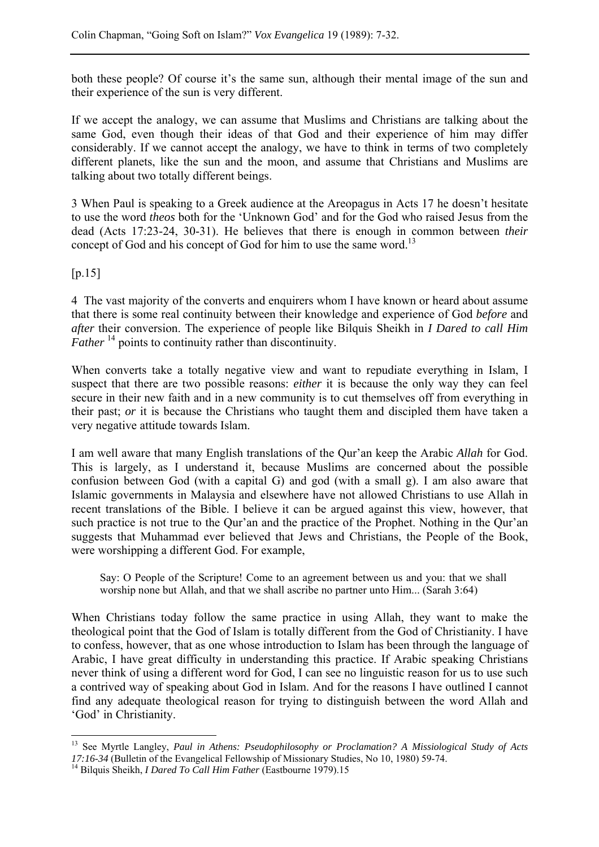both these people? Of course it's the same sun, although their mental image of the sun and their experience of the sun is very different.

If we accept the analogy, we can assume that Muslims and Christians are talking about the same God, even though their ideas of that God and their experience of him may differ considerably. If we cannot accept the analogy, we have to think in terms of two completely different planets, like the sun and the moon, and assume that Christians and Muslims are talking about two totally different beings.

3 When Paul is speaking to a Greek audience at the Areopagus in Acts 17 he doesn't hesitate to use the word *theos* both for the 'Unknown God' and for the God who raised Jesus from the dead (Acts 17:23-24, 30-31). He believes that there is enough in common between *their* concept of God and his concept of God for him to use the same word.<sup>13</sup>

 $[p.15]$ 

 $\overline{a}$ 

4 The vast majority of the converts and enquirers whom I have known or heard about assume that there is some real continuity between their knowledge and experience of God *before* and *after* their conversion. The experience of people like Bilquis Sheikh in *I Dared to call Him Father* <sup>14</sup> points to continuity rather than discontinuity.

When converts take a totally negative view and want to repudiate everything in Islam, I suspect that there are two possible reasons: *either* it is because the only way they can feel secure in their new faith and in a new community is to cut themselves off from everything in their past; *or* it is because the Christians who taught them and discipled them have taken a very negative attitude towards Islam.

I am well aware that many English translations of the Qur'an keep the Arabic *Allah* for God. This is largely, as I understand it, because Muslims are concerned about the possible confusion between God (with a capital G) and god (with a small g). I am also aware that Islamic governments in Malaysia and elsewhere have not allowed Christians to use Allah in recent translations of the Bible. I believe it can be argued against this view, however, that such practice is not true to the Qur'an and the practice of the Prophet. Nothing in the Qur'an suggests that Muhammad ever believed that Jews and Christians, the People of the Book, were worshipping a different God. For example,

Say: O People of the Scripture! Come to an agreement between us and you: that we shall worship none but Allah, and that we shall ascribe no partner unto Him... (Sarah 3:64)

When Christians today follow the same practice in using Allah, they want to make the theological point that the God of Islam is totally different from the God of Christianity. I have to confess, however, that as one whose introduction to Islam has been through the language of Arabic, I have great difficulty in understanding this practice. If Arabic speaking Christians never think of using a different word for God, I can see no linguistic reason for us to use such a contrived way of speaking about God in Islam. And for the reasons I have outlined I cannot find any adequate theological reason for trying to distinguish between the word Allah and 'God' in Christianity.

<sup>13</sup> See Myrtle Langley, *Paul in Athens: Pseudophilosophy or Proclamation? A Missiological Study of Acts 17:16-34* (Bulletin of the Evangelical Fellowship of Missionary Studies, No 10, 1980) 59-74. 14 Bilquis Sheikh, *I Dared To Call Him Father* (Eastbourne 1979).15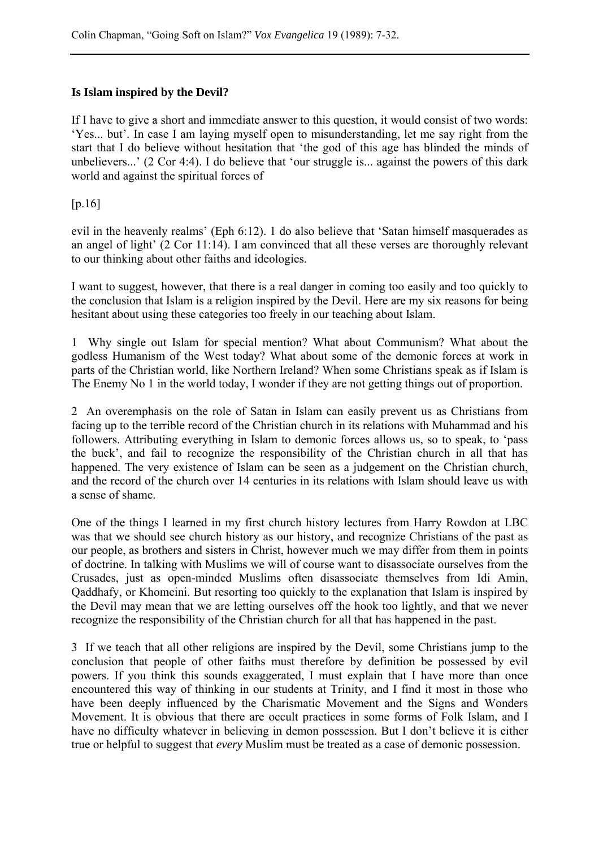## **Is Islam inspired by the Devil?**

If I have to give a short and immediate answer to this question, it would consist of two words: 'Yes... but'. In case I am laying myself open to misunderstanding, let me say right from the start that I do believe without hesitation that 'the god of this age has blinded the minds of unbelievers...' (2 Cor 4:4). I do believe that 'our struggle is... against the powers of this dark world and against the spiritual forces of

[p.16]

evil in the heavenly realms' (Eph 6:12). 1 do also believe that 'Satan himself masquerades as an angel of light' (2 Cor 11:14). I am convinced that all these verses are thoroughly relevant to our thinking about other faiths and ideologies.

I want to suggest, however, that there is a real danger in coming too easily and too quickly to the conclusion that Islam is a religion inspired by the Devil. Here are my six reasons for being hesitant about using these categories too freely in our teaching about Islam.

1 Why single out Islam for special mention? What about Communism? What about the godless Humanism of the West today? What about some of the demonic forces at work in parts of the Christian world, like Northern Ireland? When some Christians speak as if Islam is The Enemy No 1 in the world today, I wonder if they are not getting things out of proportion.

2 An overemphasis on the role of Satan in Islam can easily prevent us as Christians from facing up to the terrible record of the Christian church in its relations with Muhammad and his followers. Attributing everything in Islam to demonic forces allows us, so to speak, to 'pass the buck', and fail to recognize the responsibility of the Christian church in all that has happened. The very existence of Islam can be seen as a judgement on the Christian church, and the record of the church over 14 centuries in its relations with Islam should leave us with a sense of shame.

One of the things I learned in my first church history lectures from Harry Rowdon at LBC was that we should see church history as our history, and recognize Christians of the past as our people, as brothers and sisters in Christ, however much we may differ from them in points of doctrine. In talking with Muslims we will of course want to disassociate ourselves from the Crusades, just as open-minded Muslims often disassociate themselves from Idi Amin, Qaddhafy, or Khomeini. But resorting too quickly to the explanation that Islam is inspired by the Devil may mean that we are letting ourselves off the hook too lightly, and that we never recognize the responsibility of the Christian church for all that has happened in the past.

3 If we teach that all other religions are inspired by the Devil, some Christians jump to the conclusion that people of other faiths must therefore by definition be possessed by evil powers. If you think this sounds exaggerated, I must explain that I have more than once encountered this way of thinking in our students at Trinity, and I find it most in those who have been deeply influenced by the Charismatic Movement and the Signs and Wonders Movement. It is obvious that there are occult practices in some forms of Folk Islam, and I have no difficulty whatever in believing in demon possession. But I don't believe it is either true or helpful to suggest that *every* Muslim must be treated as a case of demonic possession.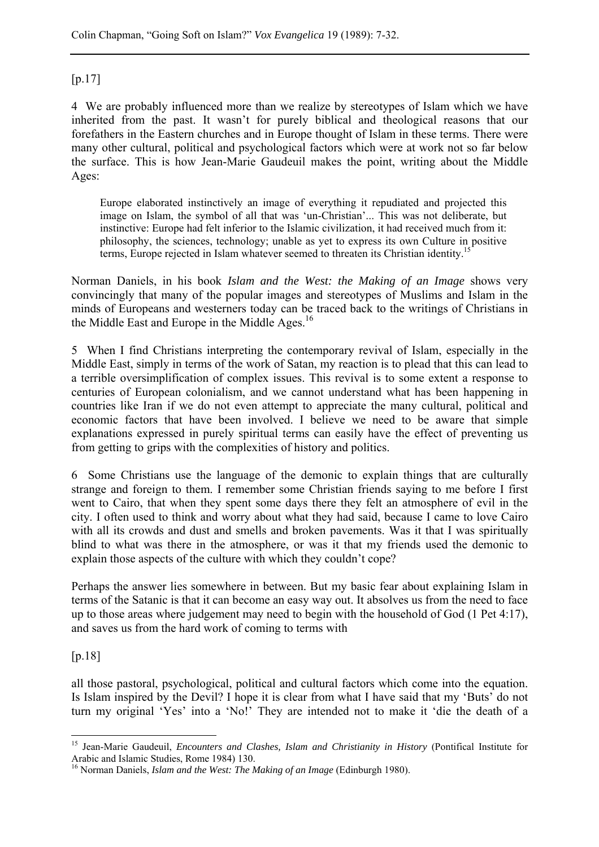## $[p.17]$

4 We are probably influenced more than we realize by stereotypes of Islam which we have inherited from the past. It wasn't for purely biblical and theological reasons that our forefathers in the Eastern churches and in Europe thought of Islam in these terms. There were many other cultural, political and psychological factors which were at work not so far below the surface. This is how Jean-Marie Gaudeuil makes the point, writing about the Middle Ages:

Europe elaborated instinctively an image of everything it repudiated and projected this image on Islam, the symbol of all that was 'un-Christian'... This was not deliberate, but instinctive: Europe had felt inferior to the Islamic civilization, it had received much from it: philosophy, the sciences, technology; unable as yet to express its own Culture in positive terms, Europe rejected in Islam whatever seemed to threaten its Christian identity.15

Norman Daniels, in his book *Islam and the West: the Making of an Image* shows very convincingly that many of the popular images and stereotypes of Muslims and Islam in the minds of Europeans and westerners today can be traced back to the writings of Christians in the Middle East and Europe in the Middle Ages.<sup>16</sup>

5 When I find Christians interpreting the contemporary revival of Islam, especially in the Middle East, simply in terms of the work of Satan, my reaction is to plead that this can lead to a terrible oversimplification of complex issues. This revival is to some extent a response to centuries of European colonialism, and we cannot understand what has been happening in countries like Iran if we do not even attempt to appreciate the many cultural, political and economic factors that have been involved. I believe we need to be aware that simple explanations expressed in purely spiritual terms can easily have the effect of preventing us from getting to grips with the complexities of history and politics.

6 Some Christians use the language of the demonic to explain things that are culturally strange and foreign to them. I remember some Christian friends saying to me before I first went to Cairo, that when they spent some days there they felt an atmosphere of evil in the city. I often used to think and worry about what they had said, because I came to love Cairo with all its crowds and dust and smells and broken pavements. Was it that I was spiritually blind to what was there in the atmosphere, or was it that my friends used the demonic to explain those aspects of the culture with which they couldn't cope?

Perhaps the answer lies somewhere in between. But my basic fear about explaining Islam in terms of the Satanic is that it can become an easy way out. It absolves us from the need to face up to those areas where judgement may need to begin with the household of God (1 Pet 4:17), and saves us from the hard work of coming to terms with

[p.18]

 $\overline{a}$ 

all those pastoral, psychological, political and cultural factors which come into the equation. Is Islam inspired by the Devil? I hope it is clear from what I have said that my 'Buts' do not turn my original 'Yes' into a 'No!' They are intended not to make it 'die the death of a

<sup>15</sup> Jean-Marie Gaudeuil, *Encounters and Clashes, Islam and Christianity in History* (Pontifical Institute for Arabic and Islamic Studies, Rome 1984) 130.

<sup>16</sup> Norman Daniels, *Islam and the West: The Making of an Image* (Edinburgh 1980).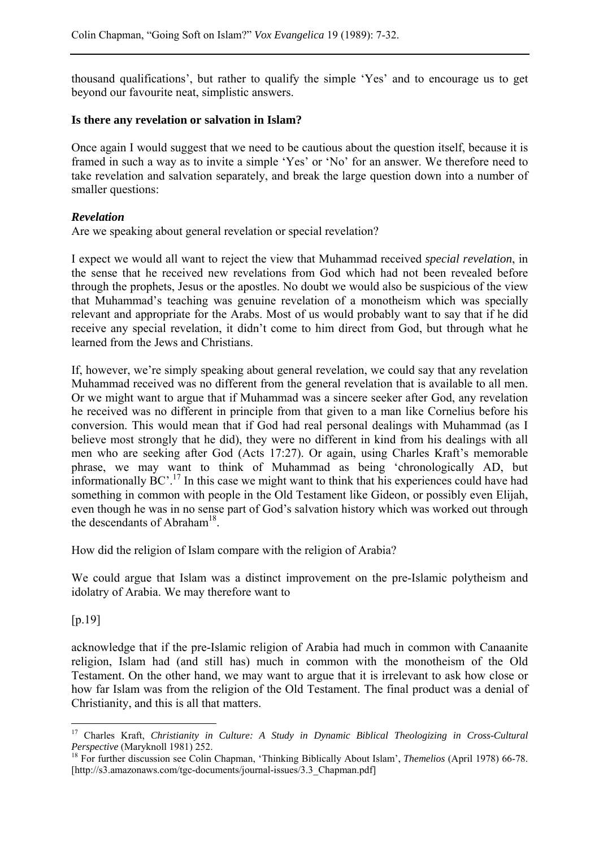thousand qualifications', but rather to qualify the simple 'Yes' and to encourage us to get beyond our favourite neat, simplistic answers.

#### **Is there any revelation or salvation in Islam?**

Once again I would suggest that we need to be cautious about the question itself, because it is framed in such a way as to invite a simple 'Yes' or 'No' for an answer. We therefore need to take revelation and salvation separately, and break the large question down into a number of smaller questions:

#### *Revelation*

Are we speaking about general revelation or special revelation?

I expect we would all want to reject the view that Muhammad received *special revelation*, in the sense that he received new revelations from God which had not been revealed before through the prophets, Jesus or the apostles. No doubt we would also be suspicious of the view that Muhammad's teaching was genuine revelation of a monotheism which was specially relevant and appropriate for the Arabs. Most of us would probably want to say that if he did receive any special revelation, it didn't come to him direct from God, but through what he learned from the Jews and Christians.

If, however, we're simply speaking about general revelation, we could say that any revelation Muhammad received was no different from the general revelation that is available to all men. Or we might want to argue that if Muhammad was a sincere seeker after God, any revelation he received was no different in principle from that given to a man like Cornelius before his conversion. This would mean that if God had real personal dealings with Muhammad (as I believe most strongly that he did), they were no different in kind from his dealings with all men who are seeking after God (Acts 17:27). Or again, using Charles Kraft's memorable phrase, we may want to think of Muhammad as being 'chronologically AD, but informationally BC'.17 In this case we might want to think that his experiences could have had something in common with people in the Old Testament like Gideon, or possibly even Elijah, even though he was in no sense part of God's salvation history which was worked out through the descendants of Abraham<sup>18</sup>.

How did the religion of Islam compare with the religion of Arabia?

We could argue that Islam was a distinct improvement on the pre-Islamic polytheism and idolatry of Arabia. We may therefore want to

[p.19]

acknowledge that if the pre-Islamic religion of Arabia had much in common with Canaanite religion, Islam had (and still has) much in common with the monotheism of the Old Testament. On the other hand, we may want to argue that it is irrelevant to ask how close or how far Islam was from the religion of the Old Testament. The final product was a denial of Christianity, and this is all that matters.

 $\overline{a}$ 17 Charles Kraft, *Christianity in Culture: A Study in Dynamic Biblical Theologizing in Cross-Cultural Perspective* (Maryknoll 1981) 252.<br><sup>18</sup> For further discussion see Colin Chapman, 'Thinking Biblically About Islam', *Themelios* (April 1978) 66-78.

<sup>[</sup>http://s3.amazonaws.com/tgc-documents/journal-issues/3.3 Chapman.pdf]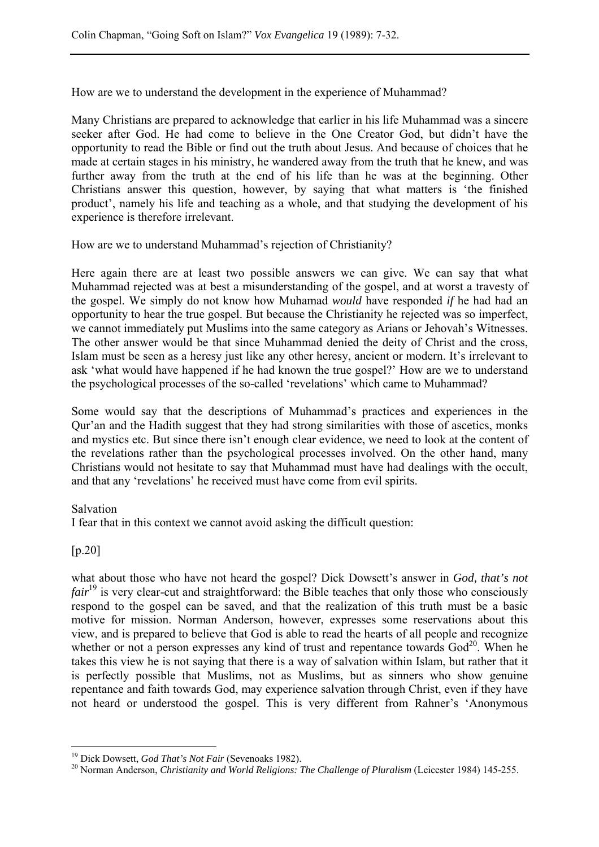How are we to understand the development in the experience of Muhammad?

Many Christians are prepared to acknowledge that earlier in his life Muhammad was a sincere seeker after God. He had come to believe in the One Creator God, but didn't have the opportunity to read the Bible or find out the truth about Jesus. And because of choices that he made at certain stages in his ministry, he wandered away from the truth that he knew, and was further away from the truth at the end of his life than he was at the beginning. Other Christians answer this question, however, by saying that what matters is 'the finished product', namely his life and teaching as a whole, and that studying the development of his experience is therefore irrelevant.

How are we to understand Muhammad's rejection of Christianity?

Here again there are at least two possible answers we can give. We can say that what Muhammad rejected was at best a misunderstanding of the gospel, and at worst a travesty of the gospel. We simply do not know how Muhamad *would* have responded *if* he had had an opportunity to hear the true gospel. But because the Christianity he rejected was so imperfect, we cannot immediately put Muslims into the same category as Arians or Jehovah's Witnesses. The other answer would be that since Muhammad denied the deity of Christ and the cross, Islam must be seen as a heresy just like any other heresy, ancient or modern. It's irrelevant to ask 'what would have happened if he had known the true gospel?' How are we to understand the psychological processes of the so-called 'revelations' which came to Muhammad?

Some would say that the descriptions of Muhammad's practices and experiences in the Qur'an and the Hadith suggest that they had strong similarities with those of ascetics, monks and mystics etc. But since there isn't enough clear evidence, we need to look at the content of the revelations rather than the psychological processes involved. On the other hand, many Christians would not hesitate to say that Muhammad must have had dealings with the occult, and that any 'revelations' he received must have come from evil spirits.

## Salvation

I fear that in this context we cannot avoid asking the difficult question:

## [p.20]

 $\overline{a}$ 

what about those who have not heard the gospel? Dick Dowsett's answer in *God, that's not fair*<sup>19</sup> is very clear-cut and straightforward: the Bible teaches that only those who consciously respond to the gospel can be saved, and that the realization of this truth must be a basic motive for mission. Norman Anderson, however, expresses some reservations about this view, and is prepared to believe that God is able to read the hearts of all people and recognize whether or not a person expresses any kind of trust and repentance towards  $God<sup>20</sup>$ . When he takes this view he is not saying that there is a way of salvation within Islam, but rather that it is perfectly possible that Muslims, not as Muslims, but as sinners who show genuine repentance and faith towards God, may experience salvation through Christ, even if they have not heard or understood the gospel. This is very different from Rahner's 'Anonymous

<sup>&</sup>lt;sup>19</sup> Dick Dowsett, *God That's Not Fair* (Sevenoaks 1982).<br><sup>20</sup> Norman Anderson, *Christianity and World Religions: The Challenge of Pluralism* (Leicester 1984) 145-255.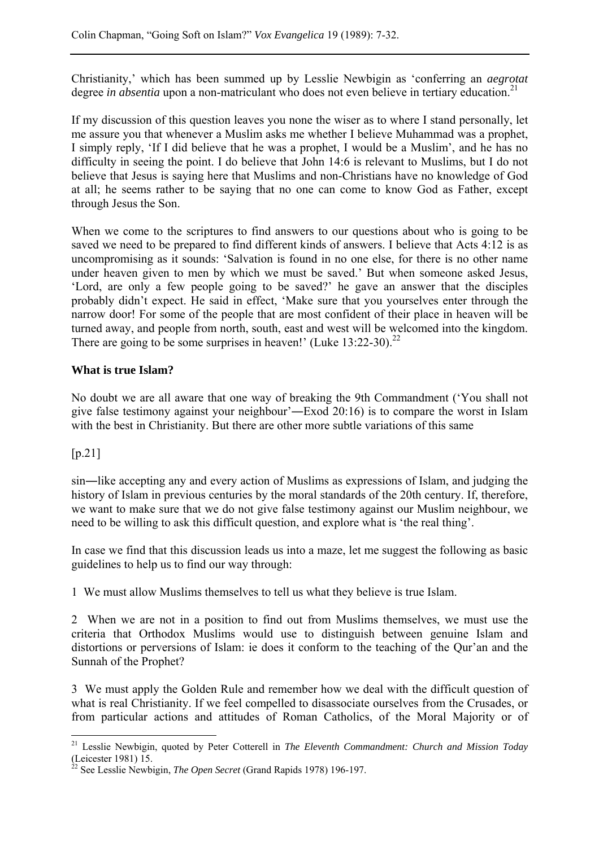Christianity,' which has been summed up by Lesslie Newbigin as 'conferring an *aegrotat* degree *in absentia* upon a non-matriculant who does not even believe in tertiary education.<sup>21</sup>

If my discussion of this question leaves you none the wiser as to where I stand personally, let me assure you that whenever a Muslim asks me whether I believe Muhammad was a prophet, I simply reply, 'If I did believe that he was a prophet, I would be a Muslim', and he has no difficulty in seeing the point. I do believe that John 14:6 is relevant to Muslims, but I do not believe that Jesus is saying here that Muslims and non-Christians have no knowledge of God at all; he seems rather to be saying that no one can come to know God as Father, except through Jesus the Son.

When we come to the scriptures to find answers to our questions about who is going to be saved we need to be prepared to find different kinds of answers. I believe that Acts 4:12 is as uncompromising as it sounds: 'Salvation is found in no one else, for there is no other name under heaven given to men by which we must be saved.' But when someone asked Jesus, 'Lord, are only a few people going to be saved?' he gave an answer that the disciples probably didn't expect. He said in effect, 'Make sure that you yourselves enter through the narrow door! For some of the people that are most confident of their place in heaven will be turned away, and people from north, south, east and west will be welcomed into the kingdom. There are going to be some surprises in heaven!' (Luke  $13:22-30$ )<sup>22</sup>

## **What is true Islam?**

No doubt we are all aware that one way of breaking the 9th Commandment ('You shall not give false testimony against your neighbour'―Exod 20:16) is to compare the worst in Islam with the best in Christianity. But there are other more subtle variations of this same

## [p.21]

 $\overline{a}$ 

sin―like accepting any and every action of Muslims as expressions of Islam, and judging the history of Islam in previous centuries by the moral standards of the 20th century. If, therefore, we want to make sure that we do not give false testimony against our Muslim neighbour, we need to be willing to ask this difficult question, and explore what is 'the real thing'.

In case we find that this discussion leads us into a maze, let me suggest the following as basic guidelines to help us to find our way through:

1 We must allow Muslims themselves to tell us what they believe is true Islam.

2 When we are not in a position to find out from Muslims themselves, we must use the criteria that Orthodox Muslims would use to distinguish between genuine Islam and distortions or perversions of Islam: ie does it conform to the teaching of the Qur'an and the Sunnah of the Prophet?

3 We must apply the Golden Rule and remember how we deal with the difficult question of what is real Christianity. If we feel compelled to disassociate ourselves from the Crusades, or from particular actions and attitudes of Roman Catholics, of the Moral Majority or of

<sup>21</sup> Lesslie Newbigin, quoted by Peter Cotterell in *The Eleventh Commandment: Church and Mission Today* (Leicester 1981) 15.

<sup>22</sup> See Lesslie Newbigin, *The Open Secret* (Grand Rapids 1978) 196-197.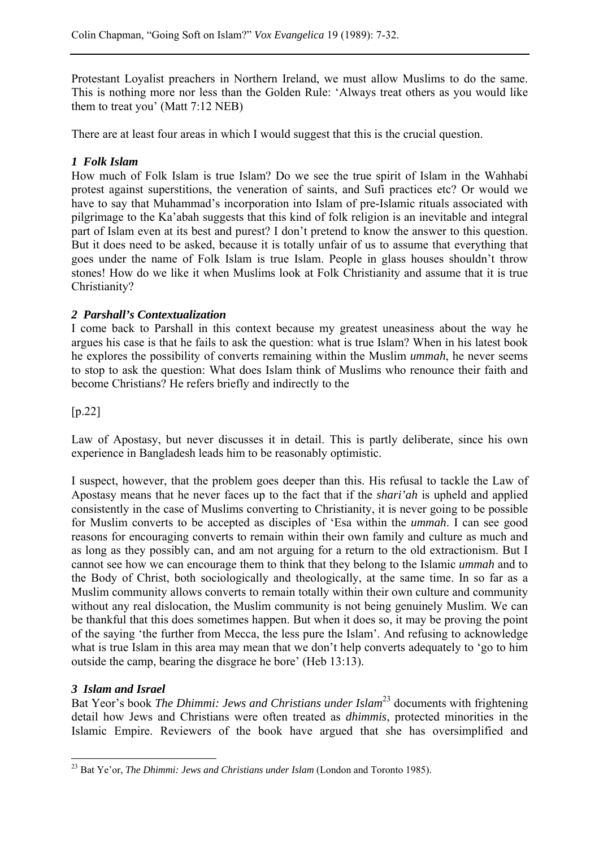Protestant Loyalist preachers in Northern Ireland, we must allow Muslims to do the same. This is nothing more nor less than the Golden Rule: 'Always treat others as you would like them to treat you' (Matt 7:12 NEB)

There are at least four areas in which I would suggest that this is the crucial question.

## *1 Folk Islam*

How much of Folk Islam is true Islam? Do we see the true spirit of Islam in the Wahhabi protest against superstitions, the veneration of saints, and Sufi practices etc? Or would we have to say that Muhammad's incorporation into Islam of pre-Islamic rituals associated with pilgrimage to the Ka'abah suggests that this kind of folk religion is an inevitable and integral part of Islam even at its best and purest? I don't pretend to know the answer to this question. But it does need to be asked, because it is totally unfair of us to assume that everything that goes under the name of Folk Islam is true Islam. People in glass houses shouldn't throw stones! How do we like it when Muslims look at Folk Christianity and assume that it is true Christianity?

## *2 Parshall's Contextualization*

I come back to Parshall in this context because my greatest uneasiness about the way he argues his case is that he fails to ask the question: what is true Islam? When in his latest book he explores the possibility of converts remaining within the Muslim *ummah*, he never seems to stop to ask the question: What does Islam think of Muslims who renounce their faith and become Christians? He refers briefly and indirectly to the

## [p.22]

Law of Apostasy, but never discusses it in detail. This is partly deliberate, since his own experience in Bangladesh leads him to be reasonably optimistic.

I suspect, however, that the problem goes deeper than this. His refusal to tackle the Law of Apostasy means that he never faces up to the fact that if the *shari'ah* is upheld and applied consistently in the case of Muslims converting to Christianity, it is never going to be possible for Muslim converts to be accepted as disciples of 'Esa within the *ummah*. I can see good reasons for encouraging converts to remain within their own family and culture as much and as long as they possibly can, and am not arguing for a return to the old extractionism. But I cannot see how we can encourage them to think that they belong to the Islamic *ummah* and to the Body of Christ, both sociologically and theologically, at the same time. In so far as a Muslim community allows converts to remain totally within their own culture and community without any real dislocation, the Muslim community is not being genuinely Muslim. We can be thankful that this does sometimes happen. But when it does so, it may be proving the point of the saying 'the further from Mecca, the less pure the Islam'. And refusing to acknowledge what is true Islam in this area may mean that we don't help converts adequately to 'go to him outside the camp, bearing the disgrace he bore' (Heb 13:13).

#### *3 Islam and Israel*

Bat Yeor's book *The Dhimmi: Jews and Christians under Islam*23 documents with frightening detail how Jews and Christians were often treated as *dhimmis*, protected minorities in the Islamic Empire. Reviewers of the book have argued that she has oversimplified and

 $\overline{a}$ 23 Bat Ye'or, *The Dhimmi: Jews and Christians under Islam* (London and Toronto 1985).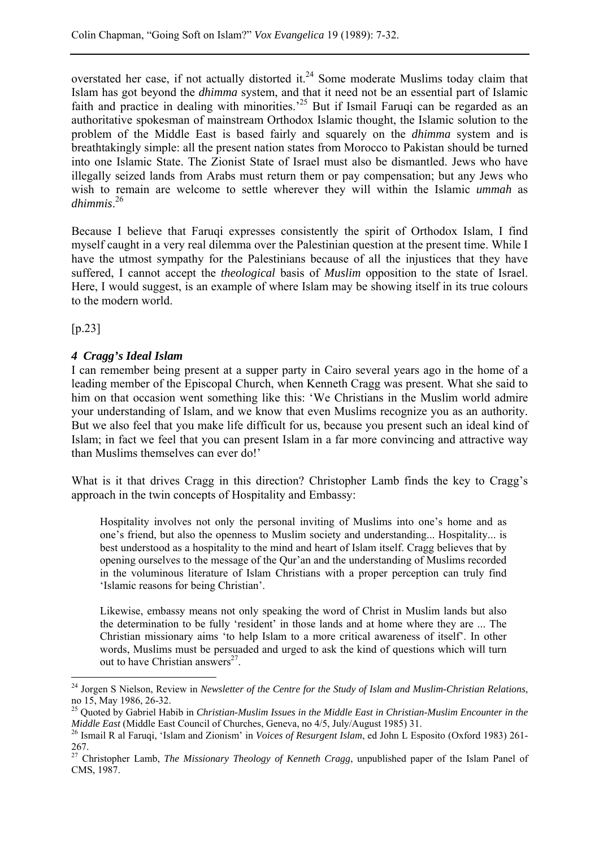overstated her case, if not actually distorted it.<sup>24</sup> Some moderate Muslims today claim that Islam has got beyond the *dhimma* system, and that it need not be an essential part of Islamic faith and practice in dealing with minorities.<sup>25</sup> But if Ismail Faruqi can be regarded as an authoritative spokesman of mainstream Orthodox Islamic thought, the Islamic solution to the problem of the Middle East is based fairly and squarely on the *dhimma* system and is breathtakingly simple: all the present nation states from Morocco to Pakistan should be turned into one Islamic State. The Zionist State of Israel must also be dismantled. Jews who have illegally seized lands from Arabs must return them or pay compensation; but any Jews who wish to remain are welcome to settle wherever they will within the Islamic *ummah* as *dhimmis*. 26

Because I believe that Faruqi expresses consistently the spirit of Orthodox Islam, I find myself caught in a very real dilemma over the Palestinian question at the present time. While I have the utmost sympathy for the Palestinians because of all the injustices that they have suffered, I cannot accept the *theological* basis of *Muslim* opposition to the state of Israel. Here, I would suggest, is an example of where Islam may be showing itself in its true colours to the modern world.

[p.23]

 $\overline{a}$ 

## *4 Cragg's Ideal Islam*

I can remember being present at a supper party in Cairo several years ago in the home of a leading member of the Episcopal Church, when Kenneth Cragg was present. What she said to him on that occasion went something like this: 'We Christians in the Muslim world admire your understanding of Islam, and we know that even Muslims recognize you as an authority. But we also feel that you make life difficult for us, because you present such an ideal kind of Islam; in fact we feel that you can present Islam in a far more convincing and attractive way than Muslims themselves can ever do!'

What is it that drives Cragg in this direction? Christopher Lamb finds the key to Cragg's approach in the twin concepts of Hospitality and Embassy:

Hospitality involves not only the personal inviting of Muslims into one's home and as one's friend, but also the openness to Muslim society and understanding... Hospitality... is best understood as a hospitality to the mind and heart of Islam itself. Cragg believes that by opening ourselves to the message of the Qur'an and the understanding of Muslims recorded in the voluminous literature of Islam Christians with a proper perception can truly find 'Islamic reasons for being Christian'.

Likewise, embassy means not only speaking the word of Christ in Muslim lands but also the determination to be fully 'resident' in those lands and at home where they are ... The Christian missionary aims 'to help Islam to a more critical awareness of itself'. In other words, Muslims must be persuaded and urged to ask the kind of questions which will turn out to have Christian answers $^{27}$ .

<sup>24</sup> Jorgen S Nielson, Review in *Newsletter of the Centre for the Study of Islam and Muslim-Christian Relations*, no 15, May 1986, 26-32.

<sup>&</sup>lt;sup>25</sup> Quoted by Gabriel Habib in *Christian-Muslim Issues in the Middle East in Christian-Muslim Encounter in the Middle East Council of Churches, Geneva, no 4/5, July/August 1985) 31.* 

<sup>&</sup>lt;sup>26</sup> Ismail R al Faruqi, 'Islam and Zionism' in *Voices of Resurgent Islam*, ed John L Esposito (Oxford 1983) 261-267.

<sup>27</sup> Christopher Lamb, *The Missionary Theology of Kenneth Cragg*, unpublished paper of the Islam Panel of CMS, 1987.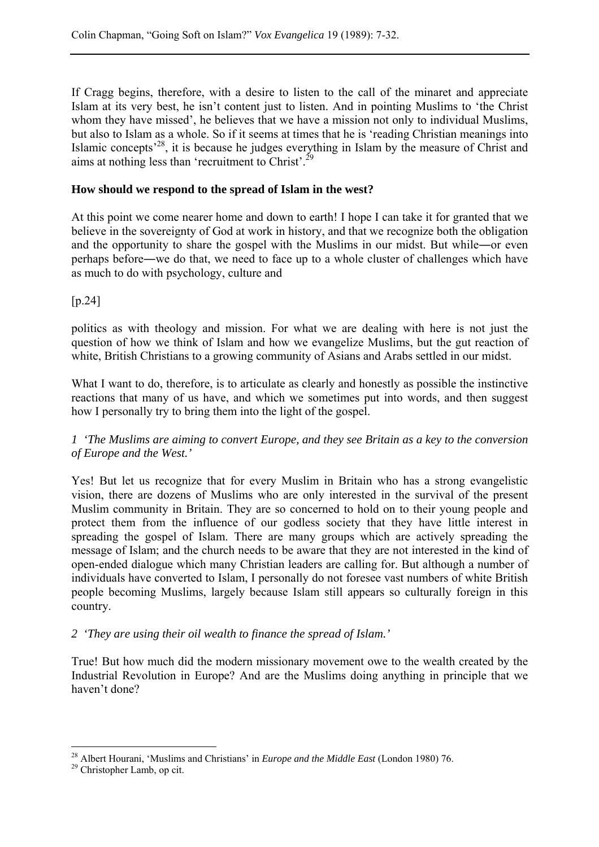If Cragg begins, therefore, with a desire to listen to the call of the minaret and appreciate Islam at its very best, he isn't content just to listen. And in pointing Muslims to 'the Christ whom they have missed', he believes that we have a mission not only to individual Muslims, but also to Islam as a whole. So if it seems at times that he is 'reading Christian meanings into Islamic concepts<sup> $28$ </sup>, it is because he judges everything in Islam by the measure of Christ and aims at nothing less than 'recruitment to Christ'.29

#### **How should we respond to the spread of Islam in the west?**

At this point we come nearer home and down to earth! I hope I can take it for granted that we believe in the sovereignty of God at work in history, and that we recognize both the obligation and the opportunity to share the gospel with the Muslims in our midst. But while―or even perhaps before―we do that, we need to face up to a whole cluster of challenges which have as much to do with psychology, culture and

[p.24]

politics as with theology and mission. For what we are dealing with here is not just the question of how we think of Islam and how we evangelize Muslims, but the gut reaction of white, British Christians to a growing community of Asians and Arabs settled in our midst.

What I want to do, therefore, is to articulate as clearly and honestly as possible the instinctive reactions that many of us have, and which we sometimes put into words, and then suggest how I personally try to bring them into the light of the gospel.

*1 'The Muslims are aiming to convert Europe, and they see Britain as a key to the conversion of Europe and the West.'* 

Yes! But let us recognize that for every Muslim in Britain who has a strong evangelistic vision, there are dozens of Muslims who are only interested in the survival of the present Muslim community in Britain. They are so concerned to hold on to their young people and protect them from the influence of our godless society that they have little interest in spreading the gospel of Islam. There are many groups which are actively spreading the message of Islam; and the church needs to be aware that they are not interested in the kind of open-ended dialogue which many Christian leaders are calling for. But although a number of individuals have converted to Islam, I personally do not foresee vast numbers of white British people becoming Muslims, largely because Islam still appears so culturally foreign in this country.

#### *2 'They are using their oil wealth to finance the spread of Islam.'*

True! But how much did the modern missionary movement owe to the wealth created by the Industrial Revolution in Europe? And are the Muslims doing anything in principle that we haven't done?

 $\overline{a}$ <sup>28</sup> Albert Hourani, 'Muslims and Christians' in *Europe and the Middle East* (London 1980) 76.<br><sup>29</sup> Christopher Lamb, op cit.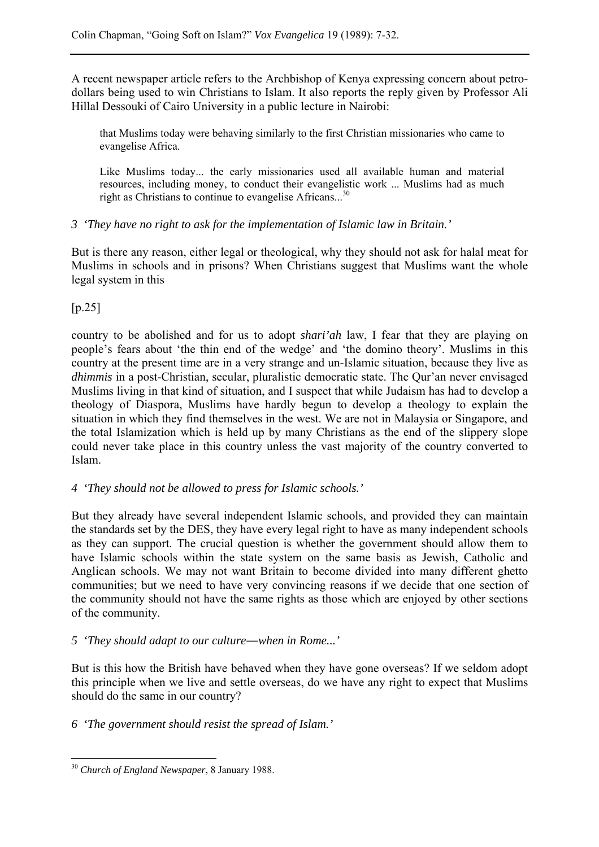A recent newspaper article refers to the Archbishop of Kenya expressing concern about petrodollars being used to win Christians to Islam. It also reports the reply given by Professor Ali Hillal Dessouki of Cairo University in a public lecture in Nairobi:

that Muslims today were behaving similarly to the first Christian missionaries who came to evangelise Africa.

Like Muslims today... the early missionaries used all available human and material resources, including money, to conduct their evangelistic work ... Muslims had as much right as Christians to continue to evangelise Africans...<sup>30</sup>

*3 'They have no right to ask for the implementation of Islamic law in Britain.'* 

But is there any reason, either legal or theological, why they should not ask for halal meat for Muslims in schools and in prisons? When Christians suggest that Muslims want the whole legal system in this

## $[p.25]$

country to be abolished and for us to adopt *shari'ah* law, I fear that they are playing on people's fears about 'the thin end of the wedge' and 'the domino theory'. Muslims in this country at the present time are in a very strange and un-Islamic situation, because they live as *dhimmis* in a post-Christian, secular, pluralistic democratic state. The Qur'an never envisaged Muslims living in that kind of situation, and I suspect that while Judaism has had to develop a theology of Diaspora, Muslims have hardly begun to develop a theology to explain the situation in which they find themselves in the west. We are not in Malaysia or Singapore, and the total Islamization which is held up by many Christians as the end of the slippery slope could never take place in this country unless the vast majority of the country converted to Islam.

*4 'They should not be allowed to press for Islamic schools.'* 

But they already have several independent Islamic schools, and provided they can maintain the standards set by the DES, they have every legal right to have as many independent schools as they can support. The crucial question is whether the government should allow them to have Islamic schools within the state system on the same basis as Jewish, Catholic and Anglican schools. We may not want Britain to become divided into many different ghetto communities; but we need to have very convincing reasons if we decide that one section of the community should not have the same rights as those which are enjoyed by other sections of the community.

## *5 'They should adapt to our culture*―*when in Rome...'*

But is this how the British have behaved when they have gone overseas? If we seldom adopt this principle when we live and settle overseas, do we have any right to expect that Muslims should do the same in our country?

*6 'The government should resist the spread of Islam.'* 

 $\overline{a}$ <sup>30</sup> *Church of England Newspaper*, 8 January 1988.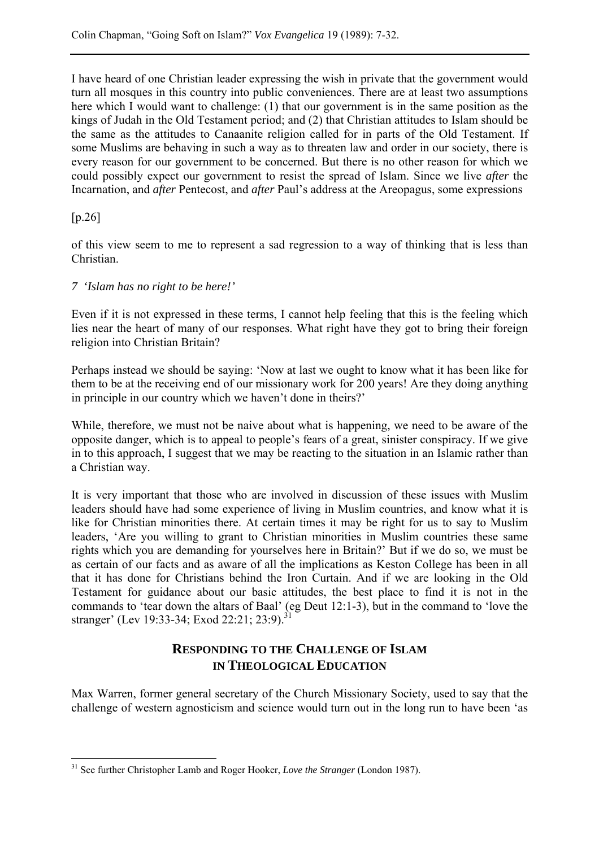I have heard of one Christian leader expressing the wish in private that the government would turn all mosques in this country into public conveniences. There are at least two assumptions here which I would want to challenge: (1) that our government is in the same position as the kings of Judah in the Old Testament period; and (2) that Christian attitudes to Islam should be the same as the attitudes to Canaanite religion called for in parts of the Old Testament. If some Muslims are behaving in such a way as to threaten law and order in our society, there is every reason for our government to be concerned. But there is no other reason for which we could possibly expect our government to resist the spread of Islam. Since we live *after* the Incarnation, and *after* Pentecost, and *after* Paul's address at the Areopagus, some expressions

## [p.26]

 $\overline{a}$ 

of this view seem to me to represent a sad regression to a way of thinking that is less than Christian.

#### *7 'Islam has no right to be here!'*

Even if it is not expressed in these terms, I cannot help feeling that this is the feeling which lies near the heart of many of our responses. What right have they got to bring their foreign religion into Christian Britain?

Perhaps instead we should be saying: 'Now at last we ought to know what it has been like for them to be at the receiving end of our missionary work for 200 years! Are they doing anything in principle in our country which we haven't done in theirs?'

While, therefore, we must not be naive about what is happening, we need to be aware of the opposite danger, which is to appeal to people's fears of a great, sinister conspiracy. If we give in to this approach, I suggest that we may be reacting to the situation in an Islamic rather than a Christian way.

It is very important that those who are involved in discussion of these issues with Muslim leaders should have had some experience of living in Muslim countries, and know what it is like for Christian minorities there. At certain times it may be right for us to say to Muslim leaders, 'Are you willing to grant to Christian minorities in Muslim countries these same rights which you are demanding for yourselves here in Britain?' But if we do so, we must be as certain of our facts and as aware of all the implications as Keston College has been in all that it has done for Christians behind the Iron Curtain. And if we are looking in the Old Testament for guidance about our basic attitudes, the best place to find it is not in the commands to 'tear down the altars of Baal' (eg Deut 12:1-3), but in the command to 'love the stranger' (Lev 19:33-34; Exod 22:21; 23:9).<sup>31</sup>

## **RESPONDING TO THE CHALLENGE OF ISLAM IN THEOLOGICAL EDUCATION**

Max Warren, former general secretary of the Church Missionary Society, used to say that the challenge of western agnosticism and science would turn out in the long run to have been 'as

<sup>31</sup> See further Christopher Lamb and Roger Hooker, *Love the Stranger* (London 1987).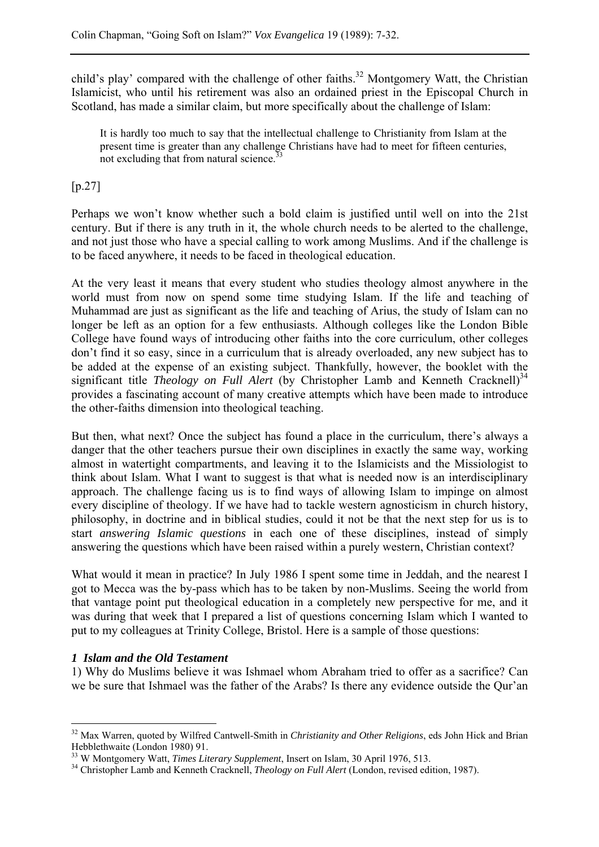child's play' compared with the challenge of other faiths.<sup>32</sup> Montgomery Watt, the Christian Islamicist, who until his retirement was also an ordained priest in the Episcopal Church in Scotland, has made a similar claim, but more specifically about the challenge of Islam:

It is hardly too much to say that the intellectual challenge to Christianity from Islam at the present time is greater than any challenge Christians have had to meet for fifteen centuries, not excluding that from natural science.<sup>3</sup>

[p.27]

Perhaps we won't know whether such a bold claim is justified until well on into the 21st century. But if there is any truth in it, the whole church needs to be alerted to the challenge, and not just those who have a special calling to work among Muslims. And if the challenge is to be faced anywhere, it needs to be faced in theological education.

At the very least it means that every student who studies theology almost anywhere in the world must from now on spend some time studying Islam. If the life and teaching of Muhammad are just as significant as the life and teaching of Arius, the study of Islam can no longer be left as an option for a few enthusiasts. Although colleges like the London Bible College have found ways of introducing other faiths into the core curriculum, other colleges don't find it so easy, since in a curriculum that is already overloaded, any new subject has to be added at the expense of an existing subject. Thankfully, however, the booklet with the significant title *Theology on Full Alert* (by Christopher Lamb and Kenneth Cracknell)<sup>34</sup> provides a fascinating account of many creative attempts which have been made to introduce the other-faiths dimension into theological teaching.

But then, what next? Once the subject has found a place in the curriculum, there's always a danger that the other teachers pursue their own disciplines in exactly the same way, working almost in watertight compartments, and leaving it to the Islamicists and the Missiologist to think about Islam. What I want to suggest is that what is needed now is an interdisciplinary approach. The challenge facing us is to find ways of allowing Islam to impinge on almost every discipline of theology. If we have had to tackle western agnosticism in church history, philosophy, in doctrine and in biblical studies, could it not be that the next step for us is to start *answering Islamic questions* in each one of these disciplines, instead of simply answering the questions which have been raised within a purely western, Christian context?

What would it mean in practice? In July 1986 I spent some time in Jeddah, and the nearest I got to Mecca was the by-pass which has to be taken by non-Muslims. Seeing the world from that vantage point put theological education in a completely new perspective for me, and it was during that week that I prepared a list of questions concerning Islam which I wanted to put to my colleagues at Trinity College, Bristol. Here is a sample of those questions:

## *1 Islam and the Old Testament*

 $\overline{a}$ 

1) Why do Muslims believe it was Ishmael whom Abraham tried to offer as a sacrifice? Can we be sure that Ishmael was the father of the Arabs? Is there any evidence outside the Qur'an

<sup>32</sup> Max Warren, quoted by Wilfred Cantwell-Smith in *Christianity and Other Religions*, eds John Hick and Brian Hebblethwaite (London 1980) 91.<br><sup>33</sup> W Montgomery Watt, *Times Literary Supplement*, Insert on Islam, 30 April 1976, 513.

<sup>&</sup>lt;sup>34</sup> Christopher Lamb and Kenneth Cracknell, *Theology on Full Alert* (London, revised edition, 1987).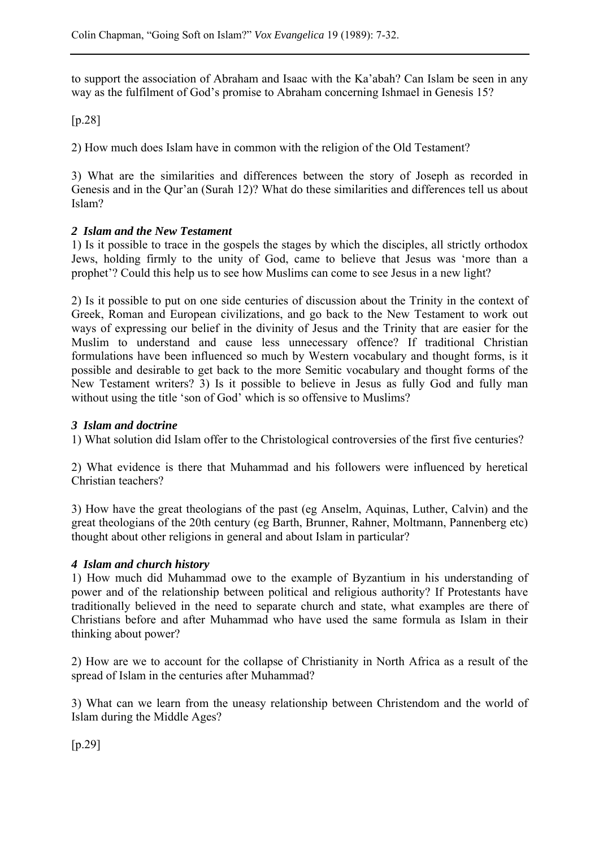to support the association of Abraham and Isaac with the Ka'abah? Can Islam be seen in any way as the fulfilment of God's promise to Abraham concerning Ishmael in Genesis 15?

## [p.28]

2) How much does Islam have in common with the religion of the Old Testament?

3) What are the similarities and differences between the story of Joseph as recorded in Genesis and in the Qur'an (Surah 12)? What do these similarities and differences tell us about Islam?

## *2 Islam and the New Testament*

1) Is it possible to trace in the gospels the stages by which the disciples, all strictly orthodox Jews, holding firmly to the unity of God, came to believe that Jesus was 'more than a prophet'? Could this help us to see how Muslims can come to see Jesus in a new light?

2) Is it possible to put on one side centuries of discussion about the Trinity in the context of Greek, Roman and European civilizations, and go back to the New Testament to work out ways of expressing our belief in the divinity of Jesus and the Trinity that are easier for the Muslim to understand and cause less unnecessary offence? If traditional Christian formulations have been influenced so much by Western vocabulary and thought forms, is it possible and desirable to get back to the more Semitic vocabulary and thought forms of the New Testament writers? 3) Is it possible to believe in Jesus as fully God and fully man without using the title 'son of God' which is so offensive to Muslims?

#### *3 Islam and doctrine*

1) What solution did Islam offer to the Christological controversies of the first five centuries?

2) What evidence is there that Muhammad and his followers were influenced by heretical Christian teachers?

3) How have the great theologians of the past (eg Anselm, Aquinas, Luther, Calvin) and the great theologians of the 20th century (eg Barth, Brunner, Rahner, Moltmann, Pannenberg etc) thought about other religions in general and about Islam in particular?

## *4 Islam and church history*

1) How much did Muhammad owe to the example of Byzantium in his understanding of power and of the relationship between political and religious authority? If Protestants have traditionally believed in the need to separate church and state, what examples are there of Christians before and after Muhammad who have used the same formula as Islam in their thinking about power?

2) How are we to account for the collapse of Christianity in North Africa as a result of the spread of Islam in the centuries after Muhammad?

3) What can we learn from the uneasy relationship between Christendom and the world of Islam during the Middle Ages?

[p.29]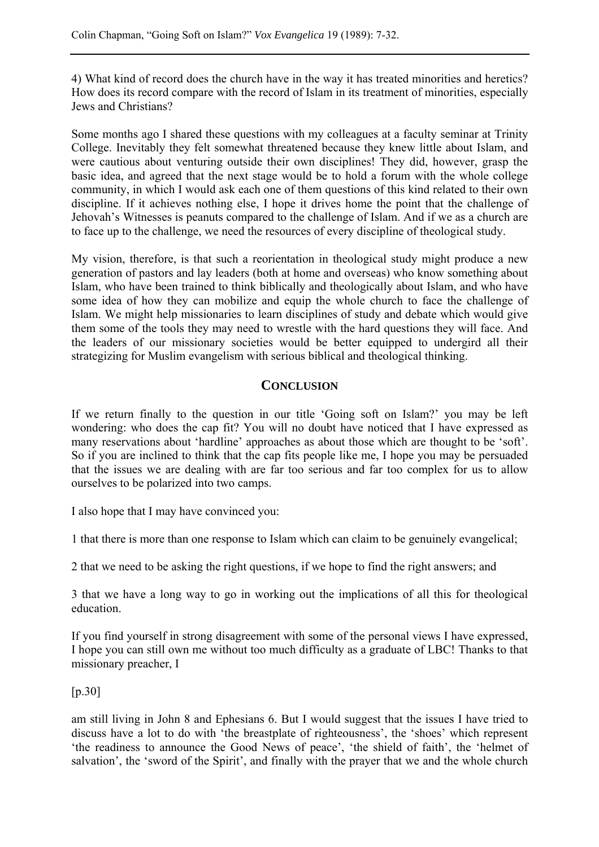4) What kind of record does the church have in the way it has treated minorities and heretics? How does its record compare with the record of Islam in its treatment of minorities, especially Jews and Christians?

Some months ago I shared these questions with my colleagues at a faculty seminar at Trinity College. Inevitably they felt somewhat threatened because they knew little about Islam, and were cautious about venturing outside their own disciplines! They did, however, grasp the basic idea, and agreed that the next stage would be to hold a forum with the whole college community, in which I would ask each one of them questions of this kind related to their own discipline. If it achieves nothing else, I hope it drives home the point that the challenge of Jehovah's Witnesses is peanuts compared to the challenge of Islam. And if we as a church are to face up to the challenge, we need the resources of every discipline of theological study.

My vision, therefore, is that such a reorientation in theological study might produce a new generation of pastors and lay leaders (both at home and overseas) who know something about Islam, who have been trained to think biblically and theologically about Islam, and who have some idea of how they can mobilize and equip the whole church to face the challenge of Islam. We might help missionaries to learn disciplines of study and debate which would give them some of the tools they may need to wrestle with the hard questions they will face. And the leaders of our missionary societies would be better equipped to undergird all their strategizing for Muslim evangelism with serious biblical and theological thinking.

## **CONCLUSION**

If we return finally to the question in our title 'Going soft on Islam?' you may be left wondering: who does the cap fit? You will no doubt have noticed that I have expressed as many reservations about 'hardline' approaches as about those which are thought to be 'soft'. So if you are inclined to think that the cap fits people like me, I hope you may be persuaded that the issues we are dealing with are far too serious and far too complex for us to allow ourselves to be polarized into two camps.

I also hope that I may have convinced you:

1 that there is more than one response to Islam which can claim to be genuinely evangelical;

2 that we need to be asking the right questions, if we hope to find the right answers; and

3 that we have a long way to go in working out the implications of all this for theological education.

If you find yourself in strong disagreement with some of the personal views I have expressed, I hope you can still own me without too much difficulty as a graduate of LBC! Thanks to that missionary preacher, I

## [p.30]

am still living in John 8 and Ephesians 6. But I would suggest that the issues I have tried to discuss have a lot to do with 'the breastplate of righteousness', the 'shoes' which represent 'the readiness to announce the Good News of peace', 'the shield of faith', the 'helmet of salvation', the 'sword of the Spirit', and finally with the prayer that we and the whole church